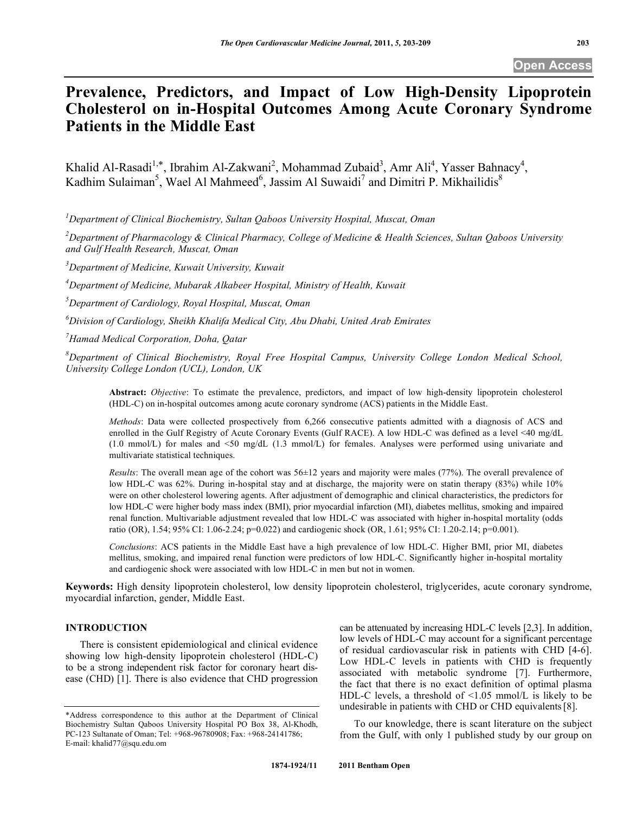# **Prevalence, Predictors, and Impact of Low High-Density Lipoprotein Cholesterol on in-Hospital Outcomes Among Acute Coronary Syndrome Patients in the Middle East**

Khalid Al-Rasadi<sup>1,\*</sup>, Ibrahim Al-Zakwani<sup>2</sup>, Mohammad Zubaid<sup>3</sup>, Amr Ali<sup>4</sup>, Yasser Bahnacy<sup>4</sup>, Kadhim Sulaiman<sup>5</sup>, Wael Al Mahmeed<sup>6</sup>, Jassim Al Suwaidi<sup>7</sup> and Dimitri P. Mikhailidis<sup>8</sup>

*1 Department of Clinical Biochemistry, Sultan Qaboos University Hospital, Muscat, Oman* 

*2 Department of Pharmacology & Clinical Pharmacy, College of Medicine & Health Sciences, Sultan Qaboos University and Gulf Health Research, Muscat, Oman* 

*3 Department of Medicine, Kuwait University, Kuwait* 

*4 Department of Medicine, Mubarak Alkabeer Hospital, Ministry of Health, Kuwait* 

*5 Department of Cardiology, Royal Hospital, Muscat, Oman* 

*6 Division of Cardiology, Sheikh Khalifa Medical City, Abu Dhabi, United Arab Emirates* 

*7 Hamad Medical Corporation, Doha, Qatar* 

*8 Department of Clinical Biochemistry, Royal Free Hospital Campus, University College London Medical School, University College London (UCL), London, UK* 

**Abstract:** *Objective*: To estimate the prevalence, predictors, and impact of low high-density lipoprotein cholesterol (HDL-C) on in-hospital outcomes among acute coronary syndrome (ACS) patients in the Middle East.

*Methods*: Data were collected prospectively from 6,266 consecutive patients admitted with a diagnosis of ACS and enrolled in the Gulf Registry of Acute Coronary Events (Gulf RACE). A low HDL-C was defined as a level <40 mg/dL (1.0 mmol/L) for males and <50 mg/dL (1.3 mmol/L) for females. Analyses were performed using univariate and multivariate statistical techniques.

*Results*: The overall mean age of the cohort was 56±12 years and majority were males (77%). The overall prevalence of low HDL-C was 62%. During in-hospital stay and at discharge, the majority were on statin therapy (83%) while 10% were on other cholesterol lowering agents. After adjustment of demographic and clinical characteristics, the predictors for low HDL-C were higher body mass index (BMI), prior myocardial infarction (MI), diabetes mellitus, smoking and impaired renal function. Multivariable adjustment revealed that low HDL-C was associated with higher in-hospital mortality (odds ratio (OR), 1.54; 95% CI: 1.06-2.24; p=0.022) and cardiogenic shock (OR, 1.61; 95% CI: 1.20-2.14; p=0.001).

*Conclusions*: ACS patients in the Middle East have a high prevalence of low HDL-C. Higher BMI, prior MI, diabetes mellitus, smoking, and impaired renal function were predictors of low HDL-C. Significantly higher in-hospital mortality and cardiogenic shock were associated with low HDL-C in men but not in women.

**Keywords:** High density lipoprotein cholesterol, low density lipoprotein cholesterol, triglycerides, acute coronary syndrome, myocardial infarction, gender, Middle East.

# **INTRODUCTION**

 There is consistent epidemiological and clinical evidence showing low high-density lipoprotein cholesterol (HDL-C) to be a strong independent risk factor for coronary heart disease (CHD) [1]. There is also evidence that CHD progression can be attenuated by increasing HDL-C levels [2,3]. In addition, low levels of HDL-C may account for a significant percentage of residual cardiovascular risk in patients with CHD [4-6]. Low HDL-C levels in patients with CHD is frequently associated with metabolic syndrome [7]. Furthermore, the fact that there is no exact definition of optimal plasma HDL-C levels, a threshold of  $\leq 1.05$  mmol/L is likely to be undesirable in patients with CHD or CHD equivalents[8].

 To our knowledge, there is scant literature on the subject from the Gulf, with only 1 published study by our group on

<sup>\*</sup>Address correspondence to this author at the Department of Clinical Biochemistry Sultan Qaboos University Hospital PO Box 38, Al-Khodh, PC-123 Sultanate of Oman; Tel: +968-96780908; Fax: +968-24141786; E-mail: khalid77@squ.edu.om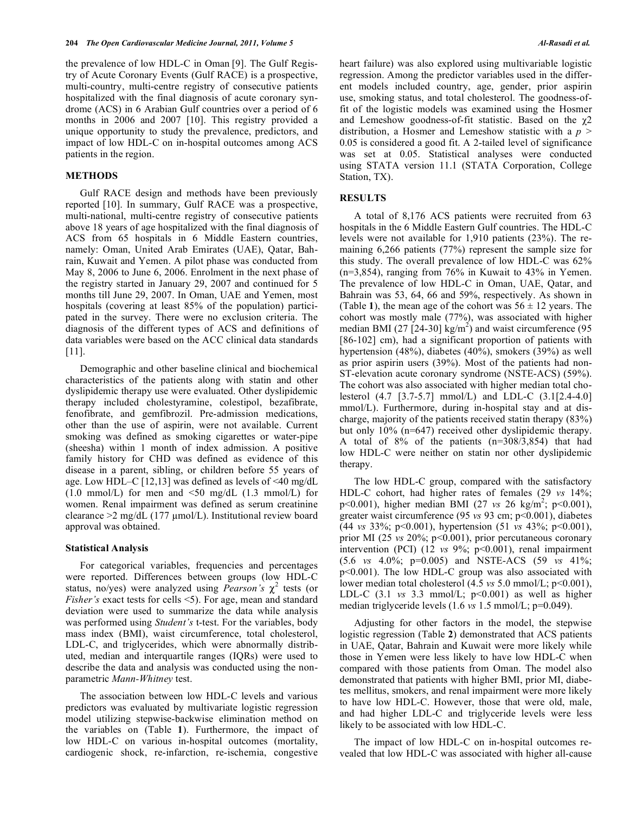the prevalence of low HDL-C in Oman [9]. The Gulf Registry of Acute Coronary Events (Gulf RACE) is a prospective, multi-country, multi-centre registry of consecutive patients hospitalized with the final diagnosis of acute coronary syndrome (ACS) in 6 Arabian Gulf countries over a period of 6 months in 2006 and 2007 [10]. This registry provided a unique opportunity to study the prevalence, predictors, and impact of low HDL-C on in-hospital outcomes among ACS patients in the region.

## **METHODS**

 Gulf RACE design and methods have been previously reported [10]. In summary, Gulf RACE was a prospective, multi-national, multi-centre registry of consecutive patients above 18 years of age hospitalized with the final diagnosis of ACS from 65 hospitals in 6 Middle Eastern countries, namely: Oman, United Arab Emirates (UAE), Qatar, Bahrain, Kuwait and Yemen. A pilot phase was conducted from May 8, 2006 to June 6, 2006. Enrolment in the next phase of the registry started in January 29, 2007 and continued for 5 months till June 29, 2007. In Oman, UAE and Yemen, most hospitals (covering at least 85% of the population) participated in the survey. There were no exclusion criteria. The diagnosis of the different types of ACS and definitions of data variables were based on the ACC clinical data standards [11].

 Demographic and other baseline clinical and biochemical characteristics of the patients along with statin and other dyslipidemic therapy use were evaluated. Other dyslipidemic therapy included cholestyramine, colestipol, bezafibrate, fenofibrate, and gemfibrozil. Pre-admission medications, other than the use of aspirin, were not available. Current smoking was defined as smoking cigarettes or water-pipe (sheesha) within 1 month of index admission. A positive family history for CHD was defined as evidence of this disease in a parent, sibling, or children before 55 years of age. Low HDL–C [12,13] was defined as levels of  $\leq 40$  mg/dL  $(1.0 \text{ mmol/L})$  for men and  $\leq 50 \text{ mg/dL}$  (1.3 mmol/L) for women. Renal impairment was defined as serum creatinine clearance > 2 mg/dL (177 µmol/L). Institutional review board approval was obtained.

## **Statistical Analysis**

 For categorical variables, frequencies and percentages were reported. Differences between groups (low HDL-C status, no/yes) were analyzed using *Pearson's*  $\chi^2$  tests (or *Fisher's* exact tests for cells <5). For age, mean and standard deviation were used to summarize the data while analysis was performed using *Student's* t-test. For the variables, body mass index (BMI), waist circumference, total cholesterol, LDL-C, and triglycerides, which were abnormally distributed, median and interquartile ranges (IQRs) were used to describe the data and analysis was conducted using the nonparametric *Mann-Whitney* test.

 The association between low HDL-C levels and various predictors was evaluated by multivariate logistic regression model utilizing stepwise-backwise elimination method on the variables on (Table **1**). Furthermore, the impact of low HDL-C on various in-hospital outcomes (mortality, cardiogenic shock, re-infarction, re-ischemia, congestive

heart failure) was also explored using multivariable logistic regression. Among the predictor variables used in the different models included country, age, gender, prior aspirin use, smoking status, and total cholesterol. The goodness-offit of the logistic models was examined using the Hosmer and Lemeshow goodness-of-fit statistic. Based on the  $\chi$ 2 distribution, a Hosmer and Lemeshow statistic with a *p* > 0.05 is considered a good fit. A 2-tailed level of significance was set at 0.05. Statistical analyses were conducted using STATA version 11.1 (STATA Corporation, College Station, TX).

#### **RESULTS**

 A total of 8,176 ACS patients were recruited from 63 hospitals in the 6 Middle Eastern Gulf countries. The HDL-C levels were not available for 1,910 patients (23%). The remaining 6,266 patients (77%) represent the sample size for this study. The overall prevalence of low HDL-C was 62% (n=3,854), ranging from 76% in Kuwait to 43% in Yemen. The prevalence of low HDL-C in Oman, UAE, Qatar, and Bahrain was 53, 64, 66 and 59%, respectively. As shown in (Table 1), the mean age of the cohort was  $56 \pm 12$  years. The cohort was mostly male (77%), was associated with higher median BMI (27 [24-30]  $\text{kg/m}^2$ ) and waist circumference (95 [86-102] cm), had a significant proportion of patients with hypertension (48%), diabetes (40%), smokers (39%) as well as prior aspirin users (39%). Most of the patients had non-ST-elevation acute coronary syndrome (NSTE-ACS) (59%). The cohort was also associated with higher median total cholesterol (4.7 [3.7-5.7] mmol/L) and LDL-C (3.1[2.4-4.0] mmol/L). Furthermore, during in-hospital stay and at discharge, majority of the patients received statin therapy (83%) but only 10% (n=647) received other dyslipidemic therapy. A total of 8% of the patients (n=308/3,854) that had low HDL-C were neither on statin nor other dyslipidemic therapy.

 The low HDL-C group, compared with the satisfactory HDL-C cohort, had higher rates of females (29 *vs* 14%; p<0.001), higher median BMI (27 *vs* 26 kg/m<sup>2</sup>; p<0.001), greater waist circumference (95 *vs* 93 cm; p<0.001), diabetes (44 *vs* 33%; p<0.001), hypertension (51 *vs* 43%; p<0.001), prior MI (25 *vs* 20%; p<0.001), prior percutaneous coronary intervention (PCI) (12 *vs* 9%; p<0.001), renal impairment (5.6 *vs* 4.0%; p=0.005) and NSTE-ACS (59 *vs* 41%; p<0.001). The low HDL-C group was also associated with lower median total cholesterol (4.5 *vs* 5.0 mmol/L; p<0.001), LDL-C  $(3.1 \text{ vs } 3.3 \text{ mmol/L}; \text{ p} < 0.001)$  as well as higher median triglyceride levels (1.6 *vs* 1.5 mmol/L; p=0.049).

 Adjusting for other factors in the model, the stepwise logistic regression (Table **2**) demonstrated that ACS patients in UAE, Qatar, Bahrain and Kuwait were more likely while those in Yemen were less likely to have low HDL-C when compared with those patients from Oman. The model also demonstrated that patients with higher BMI, prior MI, diabetes mellitus, smokers, and renal impairment were more likely to have low HDL-C. However, those that were old, male, and had higher LDL-C and triglyceride levels were less likely to be associated with low HDL-C.

 The impact of low HDL-C on in-hospital outcomes revealed that low HDL-C was associated with higher all-cause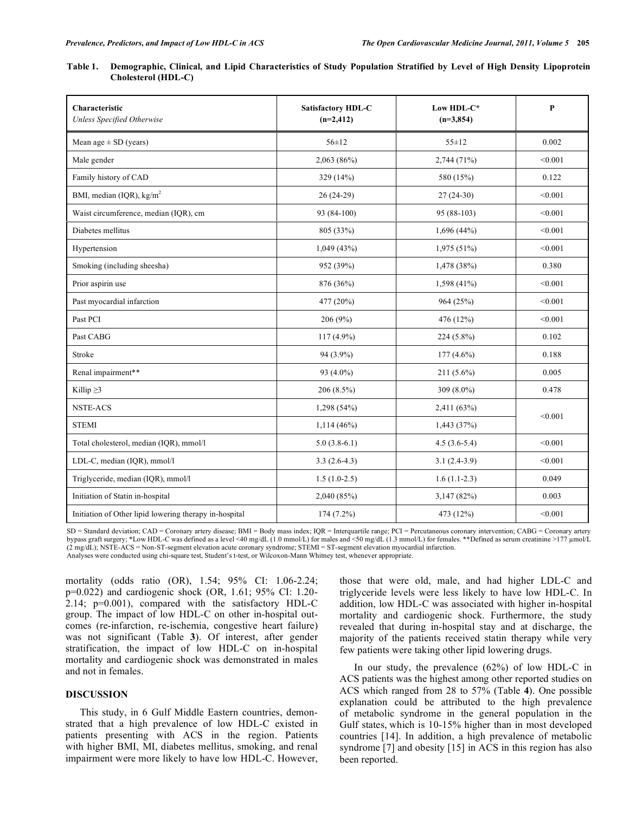| Table 1. Demographic, Clinical, and Lipid Characteristics of Study Population Stratified by Level of High Density Lipoprotein |  |  |  |
|-------------------------------------------------------------------------------------------------------------------------------|--|--|--|
| Cholesterol (HDL-C)                                                                                                           |  |  |  |

| Characteristic<br>Unless Specified Otherwise           | Satisfactory HDL-C<br>$(n=2,412)$ | Low HDL-C*<br>$(n=3,854)$ | $\mathbf{P}$ |
|--------------------------------------------------------|-----------------------------------|---------------------------|--------------|
| Mean age $\pm$ SD (years)                              | $56 \pm 12$                       | $55 \pm 12$               | 0.002        |
| Male gender                                            | 2,063(86%)                        | 2,744 (71%)               | < 0.001      |
| Family history of CAD                                  | 329 (14%)                         | 580 (15%)                 | 0.122        |
| BMI, median (IQR), kg/m <sup>2</sup>                   | $26(24-29)$                       | $27(24-30)$               | < 0.001      |
| Waist circumference, median (IQR), cm                  | 93 (84-100)                       | 95 (88-103)               | < 0.001      |
| Diabetes mellitus                                      | 805 (33%)                         | 1,696(44%)                | < 0.001      |
| Hypertension                                           | 1,049(43%)                        | 1,975 (51%)               | < 0.001      |
| Smoking (including sheesha)                            | 952 (39%)                         | 1,478(38%)                | 0.380        |
| Prior aspirin use                                      | 876 (36%)                         | 1,598 (41%)               | < 0.001      |
| Past myocardial infarction                             | 477 (20%)                         | 964 (25%)                 | < 0.001      |
| Past PCI                                               | 206 (9%)                          | 476 (12%)                 | < 0.001      |
| Past CABG                                              | $117(4.9\%)$                      | $224(5.8\%)$              | 0.102        |
| Stroke                                                 | 94 (3.9%)                         | $177(4.6\%)$              | 0.188        |
| Renal impairment**                                     | 93 (4.0%)                         | $211(5.6\%)$              | 0.005        |
| Killip $\geq$ 3                                        | 206 (8.5%)                        | 309 (8.0%)                | 0.478        |
| <b>NSTE-ACS</b>                                        | 1,298 (54%)                       | 2,411 (63%)               | < 0.001      |
| <b>STEMI</b>                                           | $1,114(46\%)$                     | 1,443(37%)                |              |
| Total cholesterol, median (IQR), mmol/l                | $5.0(3.8-6.1)$                    | $4.5(3.6-5.4)$            | < 0.001      |
| LDL-C, median (IQR), mmol/l                            | $3.3(2.6-4.3)$                    | $3.1(2.4-3.9)$            | < 0.001      |
| Triglyceride, median (IQR), mmol/l                     | $1.5(1.0-2.5)$                    | $1.6(1.1-2.3)$            | 0.049        |
| Initiation of Statin in-hospital                       | 2,040 (85%)                       | 3,147(82%)                | 0.003        |
| Initiation of Other lipid lowering therapy in-hospital | 174 (7.2%)                        | 473 (12%)                 | < 0.001      |

SD = Standard deviation; CAD = Coronary artery disease; BMI = Body mass index; IQR = Interquartile range; PCI = Percutaneous coronary intervention; CABG = Coronary artery bypass graft surgery; \*Low HDL-C was defined as a level <40 mg/dL (1.0 mmol/L) for males and <50 mg/dL (1.3 mmol/L) for females. \*\*Defined as serum creatinine >177  $\mu$ mol/L (2 mg/dL); NSTE-ACS = Non-ST-segment elevation acute coronary syndrome; STEMI = ST-segment elevation myocardial infarction. Analyses were conducted using chi-square test, Student's t-test, or Wilcoxon-Mann Whitney test, whenever appropriate.

mortality (odds ratio (OR), 1.54; 95% CI: 1.06-2.24; p=0.022) and cardiogenic shock (OR, 1.61; 95% CI: 1.20- 2.14; p=0.001), compared with the satisfactory HDL-C group. The impact of low HDL-C on other in-hospital outcomes (re-infarction, re-ischemia, congestive heart failure) was not significant (Table **3**). Of interest, after gender stratification, the impact of low HDL-C on in-hospital mortality and cardiogenic shock was demonstrated in males and not in females.

# **DISCUSSION**

 This study, in 6 Gulf Middle Eastern countries, demonstrated that a high prevalence of low HDL-C existed in patients presenting with ACS in the region. Patients with higher BMI, MI, diabetes mellitus, smoking, and renal impairment were more likely to have low HDL-C. However,

those that were old, male, and had higher LDL-C and triglyceride levels were less likely to have low HDL-C. In addition, low HDL-C was associated with higher in-hospital mortality and cardiogenic shock. Furthermore, the study revealed that during in-hospital stay and at discharge, the majority of the patients received statin therapy while very few patients were taking other lipid lowering drugs.

 In our study, the prevalence (62%) of low HDL-C in ACS patients was the highest among other reported studies on ACS which ranged from 28 to 57% (Table **4**). One possible explanation could be attributed to the high prevalence of metabolic syndrome in the general population in the Gulf states, which is 10-15% higher than in most developed countries [14]. In addition, a high prevalence of metabolic syndrome [7] and obesity [15] in ACS in this region has also been reported.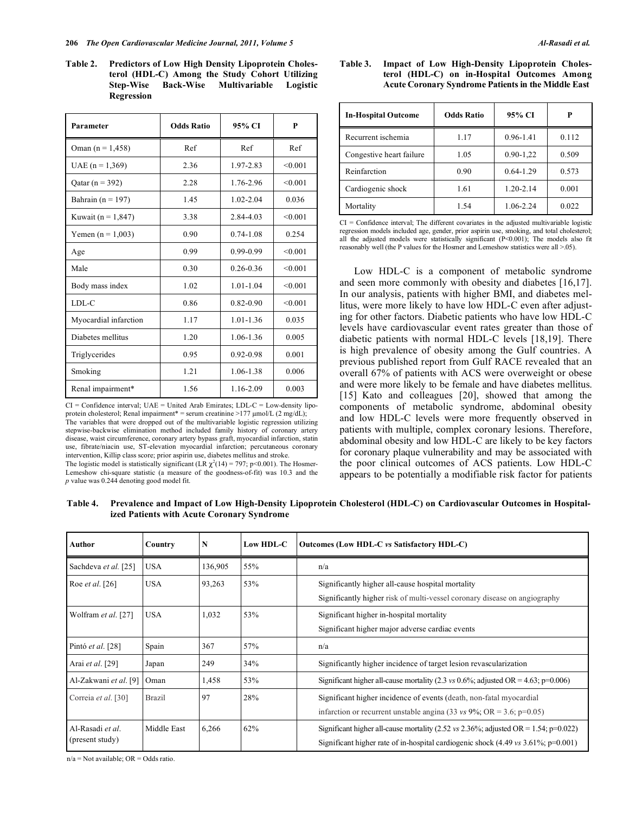#### 206 *The Open Cardiovascular Medicine Journal, 2011, Volume 5* **Al-Rasadi et al.**

**Table 2. Predictors of Low High Density Lipoprotein Cholesterol (HDL-C) Among the Study Cohort Utilizing Step-Wise Back-Wise Multivariable Logistic Regression** 

| Parameter              | <b>Odds Ratio</b> | 95% CI        | P       |  |
|------------------------|-------------------|---------------|---------|--|
| Oman $(n = 1, 458)$    | Ref               | Ref           | Ref     |  |
| UAE $(n = 1,369)$      | 2.36              | 1.97-2.83     | < 0.001 |  |
| Qatar (n = 392)        | 2.28              | 1.76-2.96     | < 0.001 |  |
| Bahrain ( $n = 197$ )  | 1.45              | $1.02 - 2.04$ | 0.036   |  |
| Kuwait ( $n = 1,847$ ) | 3.38              | 2.84-4.03     | < 0.001 |  |
| Yemen $(n = 1,003)$    | 0.90              | $0.74 - 1.08$ | 0.254   |  |
| Age                    | 0.99              | 0.99-0.99     | < 0.001 |  |
| Male                   | 0.30              | $0.26 - 0.36$ | < 0.001 |  |
| Body mass index        | 1.02              | $1.01 - 1.04$ | < 0.001 |  |
| LDL-C                  | 0.86              | $0.82 - 0.90$ | < 0.001 |  |
| Myocardial infarction  | 1.17              | $1.01 - 1.36$ | 0.035   |  |
| Diabetes mellitus      | 1.20              | 1.06-1.36     | 0.005   |  |
| Triglycerides          | 0.95              | 0.92-0.98     | 0.001   |  |
| Smoking                | 1.21              | 1.06-1.38     | 0.006   |  |
| Renal impairment*      | 1.56              | 1.16-2.09     | 0.003   |  |

 $CI =$  Confidence interval;  $UAE =$  United Arab Emirates;  $LDL-C =$  Low-density lipoprotein cholesterol; Renal impairment\* = serum creatinine >177  $\mu$ mol/L (2 mg/dL); The variables that were dropped out of the multivariable logistic regression utilizing stepwise-backwise elimination method included family history of coronary artery disease, waist circumference, coronary artery bypass graft, myocardial infarction, statin use, fibrate/niacin use, ST-elevation myocardial infarction; percutaneous coronary intervention, Killip class score; prior aspirin use, diabetes mellitus and stroke. The logistic model is statistically significant (LR  $\chi^2(14) = 797$ ; p<0.001). The Hosmer-Lemeshow chi-square statistic (a measure of the goodness-of-fit) was 10.3 and the *p* value was 0.244 denoting good model fit.

#### **Table 3. Impact of Low High-Density Lipoprotein Cholesterol (HDL-C) on in-Hospital Outcomes Among Acute Coronary Syndrome Patients in the Middle East**

| <b>In-Hospital Outcome</b> | <b>Odds Ratio</b> | 95% CI        | P     |  |
|----------------------------|-------------------|---------------|-------|--|
| Recurrent ischemia         | 1.17              | $0.96 - 1.41$ | 0.112 |  |
| Congestive heart failure   | 1.05              | $0.90 - 1.22$ | 0.509 |  |
| Reinfarction               | 0.90              | $0.64 - 1.29$ | 0.573 |  |
| Cardiogenic shock          | 1.61              | 1.20-2.14     | 0.001 |  |
| Mortality                  | 1.54              | 1.06-2.24     | 0.022 |  |

 $CI =$  Confidence interval; The different covariates in the adjusted multivariable logistic regression models included age, gender, prior aspirin use, smoking, and total cholesterol; all the adjusted models were statistically significant (P<0.001); The models also fit reasonably well (the P values for the Hosmer and Lemeshow statistics were all >.05).

 Low HDL-C is a component of metabolic syndrome and seen more commonly with obesity and diabetes [16,17]. In our analysis, patients with higher BMI, and diabetes mellitus, were more likely to have low HDL-C even after adjusting for other factors. Diabetic patients who have low HDL-C levels have cardiovascular event rates greater than those of diabetic patients with normal HDL-C levels [18,19]. There is high prevalence of obesity among the Gulf countries. A previous published report from Gulf RACE revealed that an overall 67% of patients with ACS were overweight or obese and were more likely to be female and have diabetes mellitus. [15] Kato and colleagues [20], showed that among the components of metabolic syndrome, abdominal obesity and low HDL-C levels were more frequently observed in patients with multiple, complex coronary lesions. Therefore, abdominal obesity and low HDL-C are likely to be key factors for coronary plaque vulnerability and may be associated with the poor clinical outcomes of ACS patients. Low HDL-C appears to be potentially a modifiable risk factor for patients

**Table 4. Prevalence and Impact of Low High-Density Lipoprotein Cholesterol (HDL-C) on Cardiovascular Outcomes in Hospitalized Patients with Acute Coronary Syndrome** 

| Author                              | Country       | N       | Low HDL-C | Outcomes (Low HDL-C vs Satisfactory HDL-C)                                                                                                                                           |
|-------------------------------------|---------------|---------|-----------|--------------------------------------------------------------------------------------------------------------------------------------------------------------------------------------|
| Sachdeva et al. [25]                | <b>USA</b>    | 136,905 | 55%       | n/a                                                                                                                                                                                  |
| Roe <i>et al.</i> [26]              | <b>USA</b>    | 93,263  | 53%       | Significantly higher all-cause hospital mortality<br>Significantly higher risk of multi-vessel coronary disease on angiography                                                       |
| Wolfram et al. [27]                 | <b>USA</b>    | 1,032   | 53%       | Significant higher in-hospital mortality<br>Significant higher major adverse cardiac events                                                                                          |
| Pintó et al. [28]                   | Spain         | 367     | 57%       | n/a                                                                                                                                                                                  |
| Arai et al. [29]                    | Japan         | 249     | 34%       | Significantly higher incidence of target lesion revascularization                                                                                                                    |
| Al-Zakwani et al. [9]               | Oman          | 1,458   | 53%       | Significant higher all-cause mortality (2.3 vs 0.6%; adjusted OR = 4.63; p=0.006)                                                                                                    |
| Correia et al. [30]                 | <b>Brazil</b> | 97      | 28%       | Significant higher incidence of events (death, non-fatal myocardial<br>infarction or recurrent unstable angina (33 vs 9%; OR = 3.6; p=0.05)                                          |
| Al-Rasadi et al.<br>(present study) | Middle East   | 6,266   | 62%       | Significant higher all-cause mortality (2.52 vs 2.36%; adjusted OR = 1.54; p=0.022)<br>Significant higher rate of in-hospital cardiogenic shock $(4.49 \text{ vs } 3.61\%; p=0.001)$ |

 $n/a = Not available$ ;  $OR = Odds$  ratio.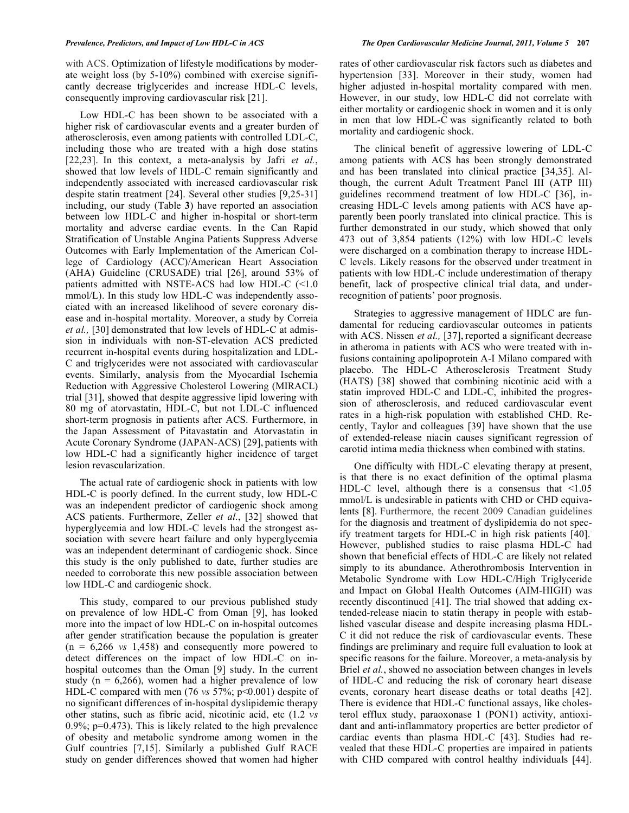with ACS. Optimization of lifestyle modifications by moderate weight loss (by 5-10%) combined with exercise significantly decrease triglycerides and increase HDL-C levels, consequently improving cardiovascular risk [21].

 Low HDL-C has been shown to be associated with a higher risk of cardiovascular events and a greater burden of atherosclerosis, even among patients with controlled LDL-C, including those who are treated with a high dose statins [22,23]. In this context, a meta-analysis by Jafri *et al.*, showed that low levels of HDL-C remain significantly and independently associated with increased cardiovascular risk despite statin treatment [24]. Several other studies [9,25-31] including, our study (Table **3**) have reported an association between low HDL-C and higher in-hospital or short-term mortality and adverse cardiac events. In the Can Rapid Stratification of Unstable Angina Patients Suppress Adverse Outcomes with Early Implementation of the American College of Cardiology (ACC)/American Heart Association (AHA) Guideline (CRUSADE) trial [26], around 53% of patients admitted with NSTE-ACS had low HDL-C  $\leq 1.0$ mmol/L). In this study low HDL-C was independently associated with an increased likelihood of severe coronary disease and in-hospital mortality. Moreover, a study by Correia *et al.,* [30] demonstrated that low levels of HDL-C at admission in individuals with non-ST-elevation ACS predicted recurrent in-hospital events during hospitalization and LDL-C and triglycerides were not associated with cardiovascular events. Similarly, analysis from the Myocardial Ischemia Reduction with Aggressive Cholesterol Lowering (MIRACL) trial [31], showed that despite aggressive lipid lowering with 80 mg of atorvastatin, HDL-C, but not LDL-C influenced short-term prognosis in patients after ACS. Furthermore, in the Japan Assessment of Pitavastatin and Atorvastatin in Acute Coronary Syndrome (JAPAN-ACS) [29], patients with low HDL-C had a significantly higher incidence of target lesion revascularization.

 The actual rate of cardiogenic shock in patients with low HDL-C is poorly defined. In the current study, low HDL-C was an independent predictor of cardiogenic shock among ACS patients. Furthermore, Zeller *et al.*, [32] showed that hyperglycemia and low HDL-C levels had the strongest association with severe heart failure and only hyperglycemia was an independent determinant of cardiogenic shock. Since this study is the only published to date, further studies are needed to corroborate this new possible association between low HDL-C and cardiogenic shock.

 This study, compared to our previous published study on prevalence of low HDL-C from Oman [9], has looked more into the impact of low HDL-C on in-hospital outcomes after gender stratification because the population is greater  $(n = 6,266 \text{ vs } 1,458)$  and consequently more powered to detect differences on the impact of low HDL-C on inhospital outcomes than the Oman [9] study. In the current study ( $n = 6,266$ ), women had a higher prevalence of low HDL-C compared with men (76 *vs* 57%; p<0.001) despite of no significant differences of in-hospital dyslipidemic therapy other statins, such as fibric acid, nicotinic acid, etc (1.2 *vs*  $0.9\%$ ; p=0.473). This is likely related to the high prevalence of obesity and metabolic syndrome among women in the Gulf countries [7,15]. Similarly a published Gulf RACE study on gender differences showed that women had higher

rates of other cardiovascular risk factors such as diabetes and hypertension [33]. Moreover in their study, women had higher adjusted in-hospital mortality compared with men. However, in our study, low HDL-C did not correlate with either mortality or cardiogenic shock in women and it is only in men that low HDL-C was significantly related to both mortality and cardiogenic shock.

 The clinical benefit of aggressive lowering of LDL-C among patients with ACS has been strongly demonstrated and has been translated into clinical practice [34,35]. Although, the current Adult Treatment Panel III (ATP III) guidelines recommend treatment of low HDL-C [36], increasing HDL-C levels among patients with ACS have apparently been poorly translated into clinical practice. This is further demonstrated in our study, which showed that only 473 out of 3,854 patients (12%) with low HDL-C levels were discharged on a combination therapy to increase HDL-C levels. Likely reasons for the observed under treatment in patients with low HDL-C include underestimation of therapy benefit, lack of prospective clinical trial data, and underrecognition of patients' poor prognosis.

 Strategies to aggressive management of HDLC are fundamental for reducing cardiovascular outcomes in patients with ACS. Nissen *et al.,* [37], reported a significant decrease in atheroma in patients with ACS who were treated with infusions containing apolipoprotein A-I Milano compared with placebo. The HDL-C Atherosclerosis Treatment Study (HATS) [38] showed that combining nicotinic acid with a statin improved HDL-C and LDL-C, inhibited the progression of atherosclerosis, and reduced cardiovascular event rates in a high-risk population with established CHD. Recently, Taylor and colleagues [39] have shown that the use of extended-release niacin causes significant regression of carotid intima media thickness when combined with statins.

 One difficulty with HDL-C elevating therapy at present, is that there is no exact definition of the optimal plasma HDL-C level, although there is a consensus that  $\leq 1.05$ mmol/L is undesirable in patients with CHD or CHD equivalents [8]. Furthermore, the recent 2009 Canadian guidelines for the diagnosis and treatment of dyslipidemia do not specify treatment targets for HDL-C in high risk patients [40].. However, published studies to raise plasma HDL-C had shown that beneficial effects of HDL-C are likely not related simply to its abundance. Atherothrombosis Intervention in Metabolic Syndrome with Low HDL-C/High Triglyceride and Impact on Global Health Outcomes (AIM-HIGH) was recently discontinued [41]. The trial showed that adding extended-release niacin to statin therapy in people with established vascular disease and despite increasing plasma HDL-C it did not reduce the risk of cardiovascular events. These findings are preliminary and require full evaluation to look at specific reasons for the failure. Moreover, a meta-analysis by Briel *et al.*, showed no association between changes in levels of HDL-C and reducing the risk of coronary heart disease events, coronary heart disease deaths or total deaths [42]. There is evidence that HDL-C functional assays, like cholesterol efflux study, paraoxonase 1 (PON1) activity, antioxidant and anti-inflammatory properties are better predictor of cardiac events than plasma HDL-C [43]. Studies had revealed that these HDL-C properties are impaired in patients with CHD compared with control healthy individuals [44].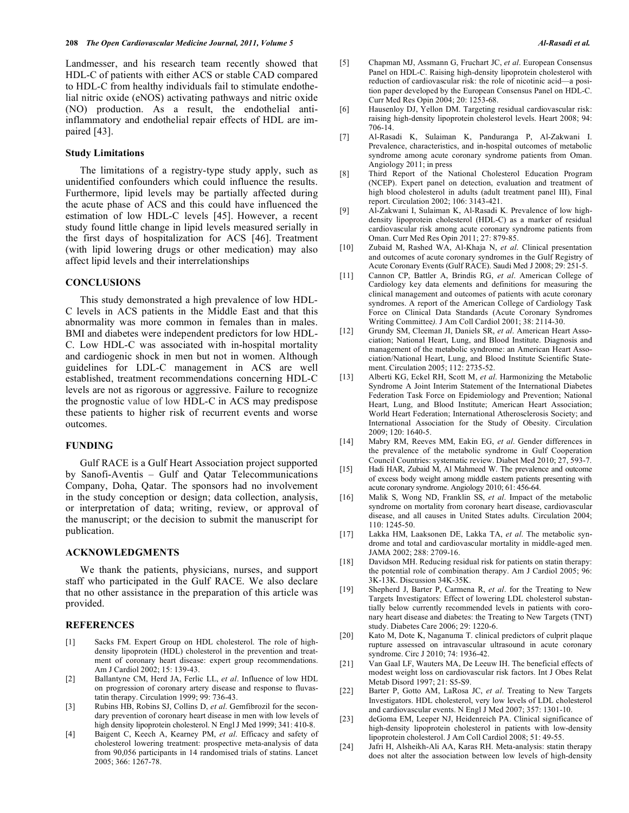Landmesser, and his research team recently showed that HDL-C of patients with either ACS or stable CAD compared to HDL-C from healthy individuals fail to stimulate endothelial nitric oxide (eNOS) activating pathways and nitric oxide (NO) production. As a result, the endothelial antiinflammatory and endothelial repair effects of HDL are impaired [43].

#### **Study Limitations**

 The limitations of a registry-type study apply, such as unidentified confounders which could influence the results. Furthermore, lipid levels may be partially affected during the acute phase of ACS and this could have influenced the estimation of low HDL-C levels [45]. However, a recent study found little change in lipid levels measured serially in the first days of hospitalization for ACS [46]. Treatment (with lipid lowering drugs or other medication) may also affect lipid levels and their interrelationships

#### **CONCLUSIONS**

 This study demonstrated a high prevalence of low HDL-C levels in ACS patients in the Middle East and that this abnormality was more common in females than in males. BMI and diabetes were independent predictors for low HDL-C. Low HDL-C was associated with in-hospital mortality and cardiogenic shock in men but not in women. Although guidelines for LDL-C management in ACS are well established, treatment recommendations concerning HDL-C levels are not as rigorous or aggressive. Failure to recognize the prognostic value of low HDL-C in ACS may predispose these patients to higher risk of recurrent events and worse outcomes.

## **FUNDING**

 Gulf RACE is a Gulf Heart Association project supported by Sanofi-Aventis – Gulf and Qatar Telecommunications Company, Doha, Qatar. The sponsors had no involvement in the study conception or design; data collection, analysis, or interpretation of data; writing, review, or approval of the manuscript; or the decision to submit the manuscript for publication.

#### **ACKNOWLEDGMENTS**

 We thank the patients, physicians, nurses, and support staff who participated in the Gulf RACE. We also declare that no other assistance in the preparation of this article was provided.

#### **REFERENCES**

- [1] Sacks FM. Expert Group on HDL cholesterol. The role of highdensity lipoprotein (HDL) cholesterol in the prevention and treatment of coronary heart disease: expert group recommendations. Am J Cardiol 2002; 15: 139-43.
- [2] Ballantyne CM, Herd JA, Ferlic LL, *et al*. Influence of low HDL on progression of coronary artery disease and response to fluvastatin therapy. Circulation 1999; 99: 736-43.
- [3] Rubins HB, Robins SJ, Collins D, *et al*. Gemfibrozil for the secondary prevention of coronary heart disease in men with low levels of high density lipoprotein cholesterol. N Engl J Med 1999; 341: 410-8.
- [4] Baigent C, Keech A, Kearney PM, *et al*. Efficacy and safety of cholesterol lowering treatment: prospective meta-analysis of data from 90,056 participants in 14 randomised trials of statins. Lancet 2005; 366: 1267-78.
- [5] Chapman MJ, Assmann G, Fruchart JC, *et al*. European Consensus Panel on HDL-C. Raising high-density lipoprotein cholesterol with reduction of cardiovascular risk: the role of nicotinic acid—a position paper developed by the European Consensus Panel on HDL-C. Curr Med Res Opin 2004; 20: 1253-68.
- [6] Hausenloy DJ, Yellon DM. Targeting residual cardiovascular risk: raising high-density lipoprotein cholesterol levels. Heart 2008; 94: 706-14.
- [7] Al-Rasadi K, Sulaiman K, Panduranga P, Al-Zakwani I. Prevalence, characteristics, and in-hospital outcomes of metabolic syndrome among acute coronary syndrome patients from Oman. Angiology 2011; in press
- [8] Third Report of the National Cholesterol Education Program (NCEP). Expert panel on detection, evaluation and treatment of high blood cholesterol in adults (adult treatment panel III), Final report. Circulation 2002; 106: 3143-421.
- [9] Al-Zakwani I, Sulaiman K, Al-Rasadi K. Prevalence of low highdensity lipoprotein cholesterol (HDL-C) as a marker of residual cardiovascular risk among acute coronary syndrome patients from Oman. Curr Med Res Opin *2*011; 27: 879-85.
- [10] Zubaid M, Rashed WA, Al-Khaja N, *et al*. Clinical presentation and outcomes of acute coronary syndromes in the Gulf Registry of Acute Coronary Events (Gulf RACE). Saudi Med J 2008; 29: 251-5.
- [11] Cannon CP, Battler A, Brindis RG, *et al*. American College of Cardiology key data elements and definitions for measuring the clinical management and outcomes of patients with acute coronary syndromes. A report of the American College of Cardiology Task Force on Clinical Data Standards (Acute Coronary Syndromes Writing Committee*).* J Am Coll Cardiol 2001; 38: 2114-30.
- [12] Grundy SM, Cleeman JI, Daniels SR, *et al*. American Heart Association; National Heart, Lung, and Blood Institute. Diagnosis and management of the metabolic syndrome: an American Heart Association/National Heart, Lung, and Blood Institute Scientific Statement. Circulation 2005; 112: 2735-52.
- [13] Alberti KG, Eckel RH, Scott M, *et al*. Harmonizing the Metabolic Syndrome A Joint Interim Statement of the International Diabetes Federation Task Force on Epidemiology and Prevention; National Heart, Lung, and Blood Institute; American Heart Association; World Heart Federation; International Atherosclerosis Society; and International Association for the Study of Obesity. Circulation 2009; 120: 1640-5.
- [14] Mabry RM, Reeves MM, Eakin EG, *et al*. Gender differences in the prevalence of the metabolic syndrome in Gulf Cooperation Council Countries: systematic review. Diabet Med 2010; 27, 593-7.
- [15] Hadi HAR, Zubaid M, Al Mahmeed W. The prevalence and outcome of excess body weight among middle eastern patients presenting with acute coronary syndrome. Angiology 2010; 61: 456-64.
- [16] Malik S, Wong ND, Franklin SS, *et al*. Impact of the metabolic syndrome on mortality from coronary heart disease, cardiovascular disease, and all causes in United States adults. Circulation 2004; 110: 1245-50.
- [17] Lakka HM, Laaksonen DE, Lakka TA, *et al*. The metabolic syndrome and total and cardiovascular mortality in middle-aged men. JAMA 2002; 288: 2709-16.
- [18] Davidson MH. Reducing residual risk for patients on statin therapy: the potential role of combination therapy. Am J Cardiol 2005; 96: 3K-13K. Discussion 34K-35K.
- [19] Shepherd J, Barter P, Carmena R, *et al*. for the Treating to New Targets Investigators: Effect of lowering LDL cholesterol substantially below currently recommended levels in patients with coronary heart disease and diabetes: the Treating to New Targets (TNT) study. Diabetes Care 2006; 29: 1220-6.
- [20] Kato M, Dote K, Naganuma T. clinical predictors of culprit plaque rupture assessed on intravascular ultrasound in acute coronary syndrome. Circ J 2010; 74: 1936-42.
- [21] Van Gaal LF, Wauters MA, De Leeuw IH. The beneficial effects of modest weight loss on cardiovascular risk factors. Int J Obes Relat Metab Disord 1997; 21: S5-S9.
- [22] Barter P, Gotto AM, LaRosa JC, *et al*. Treating to New Targets Investigators. HDL cholesterol, very low levels of LDL cholesterol and cardiovascular events. N Engl J Med 2007; 357: 1301-10.
- [23] deGoma EM, Leeper NJ, Heidenreich PA. Clinical significance of high-density lipoprotein cholesterol in patients with low-density lipoprotein cholesterol. J Am Coll Cardiol 2008; 51: 49-55.
- [24] Jafri H, Alsheikh-Ali AA, Karas RH. Meta-analysis: statin therapy does not alter the association between low levels of high-density